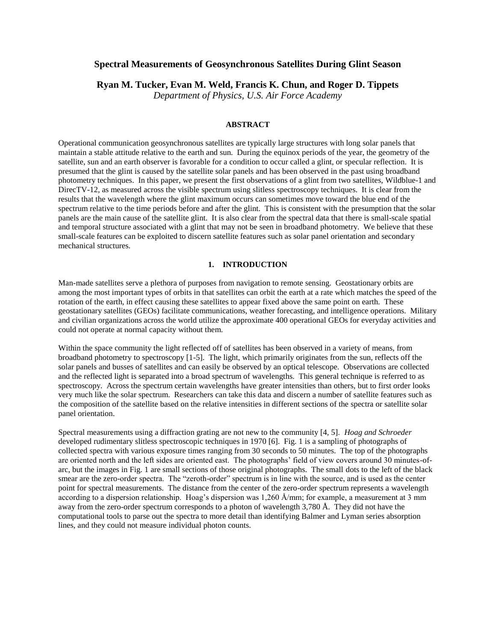# **Spectral Measurements of Geosynchronous Satellites During Glint Season**

**Ryan M. Tucker, Evan M. Weld, Francis K. Chun, and Roger D. Tippets**

*Department of Physics, U.S. Air Force Academy*

### **ABSTRACT**

Operational communication geosynchronous satellites are typically large structures with long solar panels that maintain a stable attitude relative to the earth and sun. During the equinox periods of the year, the geometry of the satellite, sun and an earth observer is favorable for a condition to occur called a glint, or specular reflection. It is presumed that the glint is caused by the satellite solar panels and has been observed in the past using broadband photometry techniques. In this paper, we present the first observations of a glint from two satellites, Wildblue-1 and DirecTV-12, as measured across the visible spectrum using slitless spectroscopy techniques. It is clear from the results that the wavelength where the glint maximum occurs can sometimes move toward the blue end of the spectrum relative to the time periods before and after the glint. This is consistent with the presumption that the solar panels are the main cause of the satellite glint. It is also clear from the spectral data that there is small-scale spatial and temporal structure associated with a glint that may not be seen in broadband photometry. We believe that these small-scale features can be exploited to discern satellite features such as solar panel orientation and secondary mechanical structures.

#### **1. INTRODUCTION**

Man-made satellites serve a plethora of purposes from navigation to remote sensing. Geostationary orbits are among the most important types of orbits in that satellites can orbit the earth at a rate which matches the speed of the rotation of the earth, in effect causing these satellites to appear fixed above the same point on earth. These geostationary satellites (GEOs) facilitate communications, weather forecasting, and intelligence operations. Military and civilian organizations across the world utilize the approximate 400 operational GEOs for everyday activities and could not operate at normal capacity without them.

Within the space community the light reflected off of satellites has been observed in a variety of means, from broadband photometry to spectroscopy [1-5]. The light, which primarily originates from the sun, reflects off the solar panels and busses of satellites and can easily be observed by an optical telescope. Observations are collected and the reflected light is separated into a broad spectrum of wavelengths. This general technique is referred to as spectroscopy. Across the spectrum certain wavelengths have greater intensities than others, but to first order looks very much like the solar spectrum. Researchers can take this data and discern a number of satellite features such as the composition of the satellite based on the relative intensities in different sections of the spectra or satellite solar panel orientation.

Spectral measurements using a diffraction grating are not new to the community [4, 5]. *Hoag and Schroeder* developed rudimentary slitless spectroscopic techniques in 1970 [6]. Fig. 1 is a sampling of photographs of collected spectra with various exposure times ranging from 30 seconds to 50 minutes. The top of the photographs are oriented north and the left sides are oriented east. The photographs' field of view covers around 30 minutes-ofarc, but the images in Fig. 1 are small sections of those original photographs. The small dots to the left of the black smear are the zero-order spectra. The "zeroth-order" spectrum is in line with the source, and is used as the center point for spectral measurements. The distance from the center of the zero-order spectrum represents a wavelength according to a dispersion relationship. Hoag's dispersion was 1,260 Å/mm; for example, a measurement at 3 mm away from the zero-order spectrum corresponds to a photon of wavelength 3,780 Å. They did not have the computational tools to parse out the spectra to more detail than identifying Balmer and Lyman series absorption lines, and they could not measure individual photon counts.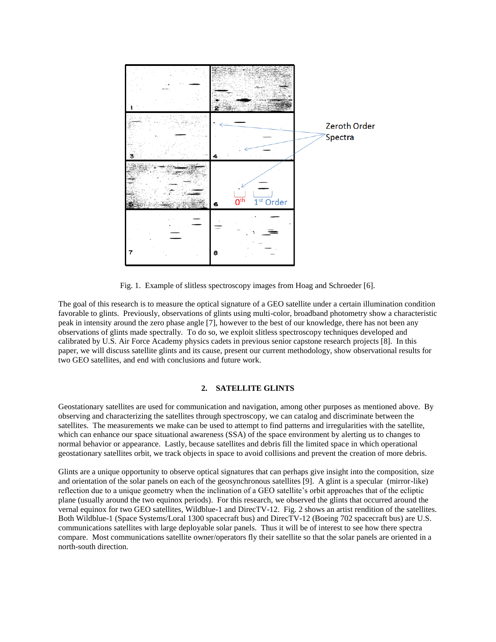

Fig. 1. Example of slitless spectroscopy images from Hoag and Schroeder [6].

The goal of this research is to measure the optical signature of a GEO satellite under a certain illumination condition favorable to glints. Previously, observations of glints using multi-color, broadband photometry show a characteristic peak in intensity around the zero phase angle [7], however to the best of our knowledge, there has not been any observations of glints made spectrally. To do so, we exploit slitless spectroscopy techniques developed and calibrated by U.S. Air Force Academy physics cadets in previous senior capstone research projects [8]. In this paper, we will discuss satellite glints and its cause, present our current methodology, show observational results for two GEO satellites, and end with conclusions and future work.

## **2. SATELLITE GLINTS**

Geostationary satellites are used for communication and navigation, among other purposes as mentioned above. By observing and characterizing the satellites through spectroscopy, we can catalog and discriminate between the satellites. The measurements we make can be used to attempt to find patterns and irregularities with the satellite, which can enhance our space situational awareness (SSA) of the space environment by alerting us to changes to normal behavior or appearance. Lastly, because satellites and debris fill the limited space in which operational geostationary satellites orbit, we track objects in space to avoid collisions and prevent the creation of more debris.

Glints are a unique opportunity to observe optical signatures that can perhaps give insight into the composition, size and orientation of the solar panels on each of the geosynchronous satellites [9]. A glint is a specular (mirror-like) reflection due to a unique geometry when the inclination of a GEO satellite's orbit approaches that of the ecliptic plane (usually around the two equinox periods). For this research, we observed the glints that occurred around the vernal equinox for two GEO satellites, Wildblue-1 and DirecTV-12. Fig. 2 shows an artist rendition of the satellites. Both Wildblue-1 (Space Systems/Loral 1300 spacecraft bus) and DirecTV-12 (Boeing 702 spacecraft bus) are U.S. communications satellites with large deployable solar panels. Thus it will be of interest to see how there spectra compare. Most communications satellite owner/operators fly their satellite so that the solar panels are oriented in a north-south direction.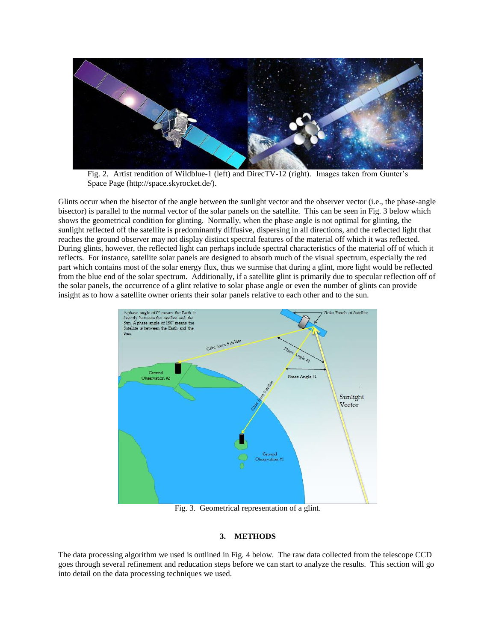

Fig. 2. Artist rendition of Wildblue-1 (left) and DirecTV-12 (right). Images taken from Gunter's Space Page (http://space.skyrocket.de/).

Glints occur when the bisector of the angle between the sunlight vector and the observer vector (i.e., the phase-angle bisector) is parallel to the normal vector of the solar panels on the satellite. This can be seen in Fig. 3 below which shows the geometrical condition for glinting. Normally, when the phase angle is not optimal for glinting, the sunlight reflected off the satellite is predominantly diffusive, dispersing in all directions, and the reflected light that reaches the ground observer may not display distinct spectral features of the material off which it was reflected. During glints, however, the reflected light can perhaps include spectral characteristics of the material off of which it reflects. For instance, satellite solar panels are designed to absorb much of the visual spectrum, especially the red part which contains most of the solar energy flux, thus we surmise that during a glint, more light would be reflected from the blue end of the solar spectrum. Additionally, if a satellite glint is primarily due to specular reflection off of the solar panels, the occurrence of a glint relative to solar phase angle or even the number of glints can provide insight as to how a satellite owner orients their solar panels relative to each other and to the sun.



Fig. 3. Geometrical representation of a glint.

## **3. METHODS**

The data processing algorithm we used is outlined in Fig. 4 below. The raw data collected from the telescope CCD goes through several refinement and reducation steps before we can start to analyze the results. This section will go into detail on the data processing techniques we used.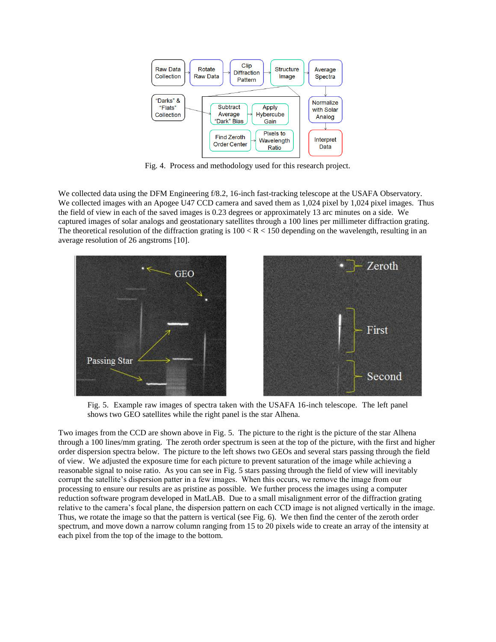

Fig. 4. Process and methodology used for this research project.

We collected data using the DFM Engineering f/8.2, 16-inch fast-tracking telescope at the USAFA Observatory. We collected images with an Apogee U47 CCD camera and saved them as 1,024 pixel by 1,024 pixel images. Thus the field of view in each of the saved images is 0.23 degrees or approximately 13 arc minutes on a side. We captured images of solar analogs and geostationary satellites through a 100 lines per millimeter diffraction grating. The theoretical resolution of the diffraction grating is  $100 < R < 150$  depending on the wavelength, resulting in an average resolution of 26 angstroms [10].



Fig. 5. Example raw images of spectra taken with the USAFA 16-inch telescope. The left panel shows two GEO satellites while the right panel is the star Alhena.

Two images from the CCD are shown above in Fig. 5. The picture to the right is the picture of the star Alhena through a 100 lines/mm grating. The zeroth order spectrum is seen at the top of the picture, with the first and higher order dispersion spectra below. The picture to the left shows two GEOs and several stars passing through the field of view. We adjusted the exposure time for each picture to prevent saturation of the image while achieving a reasonable signal to noise ratio. As you can see in Fig. 5 stars passing through the field of view will inevitably corrupt the satellite's dispersion patter in a few images. When this occurs, we remove the image from our processing to ensure our results are as pristine as possible. We further process the images using a computer reduction software program developed in MatLAB. Due to a small misalignment error of the diffraction grating relative to the camera's focal plane, the dispersion pattern on each CCD image is not aligned vertically in the image. Thus, we rotate the image so that the pattern is vertical (see Fig. 6). We then find the center of the zeroth order spectrum, and move down a narrow column ranging from 15 to 20 pixels wide to create an array of the intensity at each pixel from the top of the image to the bottom.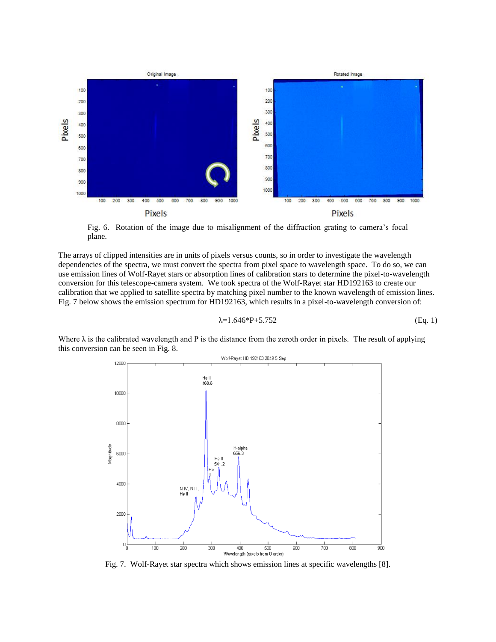

Fig. 6. Rotation of the image due to misalignment of the diffraction grating to camera's focal plane.

The arrays of clipped intensities are in units of pixels versus counts, so in order to investigate the wavelength dependencies of the spectra, we must convert the spectra from pixel space to wavelength space. To do so, we can use emission lines of Wolf-Rayet stars or absorption lines of calibration stars to determine the pixel-to-wavelength conversion for this telescope-camera system. We took spectra of the Wolf-Rayet star HD192163 to create our calibration that we applied to satellite spectra by matching pixel number to the known wavelength of emission lines. Fig. 7 below shows the emission spectrum for HD192163, which results in a pixel-to-wavelength conversion of:

$$
\lambda = 1.646 \cdot P + 5.752 \tag{Eq. 1}
$$

Where  $\lambda$  is the calibrated wavelength and P is the distance from the zeroth order in pixels. The result of applying this conversion can be seen in Fig. 8.



Fig. 7. Wolf-Rayet star spectra which shows emission lines at specific wavelengths [8].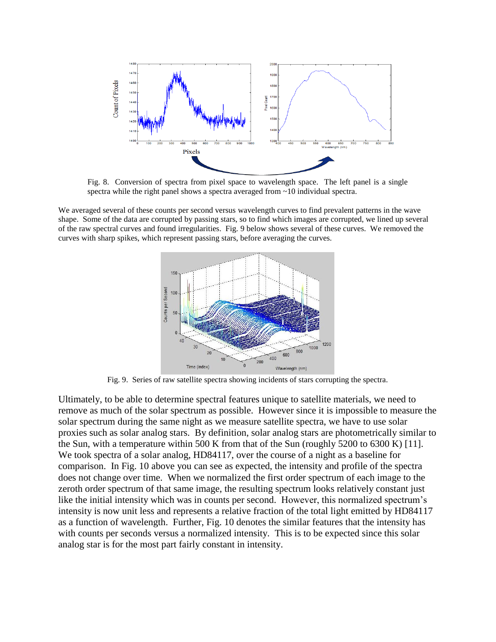

Fig. 8. Conversion of spectra from pixel space to wavelength space. The left panel is a single spectra while the right panel shows a spectra averaged from ~10 individual spectra.

We averaged several of these counts per second versus wavelength curves to find prevalent patterns in the wave shape. Some of the data are corrupted by passing stars, so to find which images are corrupted, we lined up several of the raw spectral curves and found irregularities. Fig. 9 below shows several of these curves. We removed the curves with sharp spikes, which represent passing stars, before averaging the curves.



Fig. 9. Series of raw satellite spectra showing incidents of stars corrupting the spectra.

Ultimately, to be able to determine spectral features unique to satellite materials, we need to remove as much of the solar spectrum as possible. However since it is impossible to measure the solar spectrum during the same night as we measure satellite spectra, we have to use solar proxies such as solar analog stars. By definition, solar analog stars are photometrically similar to the Sun, with a temperature within 500 K from that of the Sun (roughly 5200 to 6300 K) [11]. We took spectra of a solar analog, HD84117, over the course of a night as a baseline for comparison. In Fig. 10 above you can see as expected, the intensity and profile of the spectra does not change over time. When we normalized the first order spectrum of each image to the zeroth order spectrum of that same image, the resulting spectrum looks relatively constant just like the initial intensity which was in counts per second. However, this normalized spectrum's intensity is now unit less and represents a relative fraction of the total light emitted by HD84117 as a function of wavelength. Further, Fig. 10 denotes the similar features that the intensity has with counts per seconds versus a normalized intensity. This is to be expected since this solar analog star is for the most part fairly constant in intensity.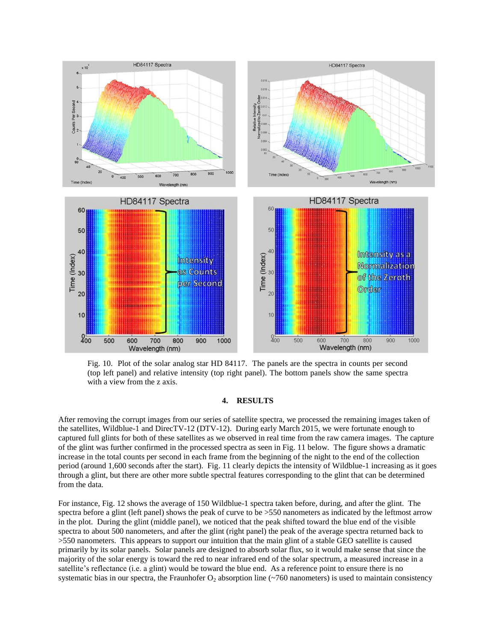

Fig. 10. Plot of the solar analog star HD 84117. The panels are the spectra in counts per second (top left panel) and relative intensity (top right panel). The bottom panels show the same spectra with a view from the z axis.

## **4. RESULTS**

After removing the corrupt images from our series of satellite spectra, we processed the remaining images taken of the satellites, Wildblue-1 and DirecTV-12 (DTV-12). During early March 2015, we were fortunate enough to captured full glints for both of these satellites as we observed in real time from the raw camera images. The capture of the glint was further confirmed in the processed spectra as seen in Fig. 11 below. The figure shows a dramatic increase in the total counts per second in each frame from the beginning of the night to the end of the collection period (around 1,600 seconds after the start). Fig. 11 clearly depicts the intensity of Wildblue-1 increasing as it goes through a glint, but there are other more subtle spectral features corresponding to the glint that can be determined from the data.

For instance, Fig. 12 shows the average of 150 Wildblue-1 spectra taken before, during, and after the glint. The spectra before a glint (left panel) shows the peak of curve to be >550 nanometers as indicated by the leftmost arrow in the plot. During the glint (middle panel), we noticed that the peak shifted toward the blue end of the visible spectra to about 500 nanometers, and after the glint (right panel) the peak of the average spectra returned back to >550 nanometers. This appears to support our intuition that the main glint of a stable GEO satellite is caused primarily by its solar panels. Solar panels are designed to absorb solar flux, so it would make sense that since the majority of the solar energy is toward the red to near infrared end of the solar spectrum, a measured increase in a satellite's reflectance (i.e. a glint) would be toward the blue end. As a reference point to ensure there is no systematic bias in our spectra, the Fraunhofer  $O_2$  absorption line (~760 nanometers) is used to maintain consistency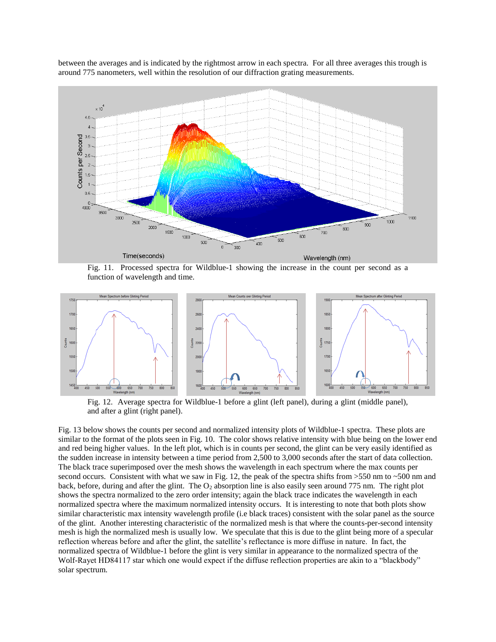

between the averages and is indicated by the rightmost arrow in each spectra. For all three averages this trough is around 775 nanometers, well within the resolution of our diffraction grating measurements.

Fig. 11. Processed spectra for Wildblue-1 showing the increase in the count per second as a function of wavelength and time.



Fig. 12. Average spectra for Wildblue-1 before a glint (left panel), during a glint (middle panel), and after a glint (right panel).

Fig. 13 below shows the counts per second and normalized intensity plots of Wildblue-1 spectra. These plots are similar to the format of the plots seen in Fig. 10. The color shows relative intensity with blue being on the lower end and red being higher values. In the left plot, which is in counts per second, the glint can be very easily identified as the sudden increase in intensity between a time period from 2,500 to 3,000 seconds after the start of data collection. The black trace superimposed over the mesh shows the wavelength in each spectrum where the max counts per second occurs. Consistent with what we saw in Fig. 12, the peak of the spectra shifts from >550 nm to ~500 nm and back, before, during and after the glint. The  $O_2$  absorption line is also easily seen around 775 nm. The right plot shows the spectra normalized to the zero order intensity; again the black trace indicates the wavelength in each normalized spectra where the maximum normalized intensity occurs. It is interesting to note that both plots show similar characteristic max intensity wavelength profile (i.e black traces) consistent with the solar panel as the source of the glint. Another interesting characteristic of the normalized mesh is that where the counts-per-second intensity mesh is high the normalized mesh is usually low. We speculate that this is due to the glint being more of a specular reflection whereas before and after the glint, the satellite's reflectance is more diffuse in nature. In fact, the normalized spectra of Wildblue-1 before the glint is very similar in appearance to the normalized spectra of the Wolf-Rayet HD84117 star which one would expect if the diffuse reflection properties are akin to a "blackbody" solar spectrum.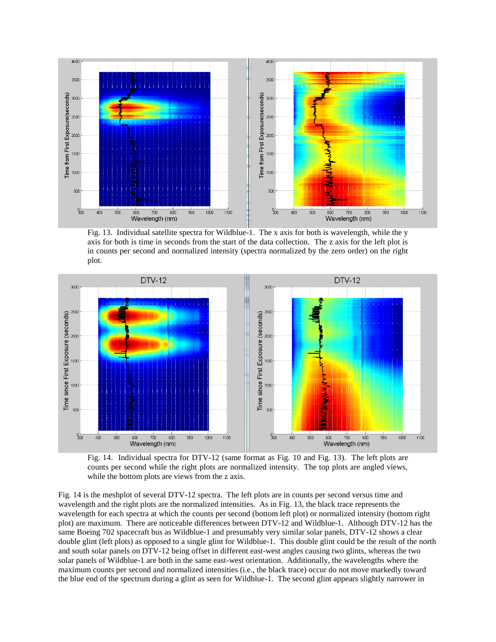

Fig. 13. Individual satellite spectra for Wildblue-1. The x axis for both is wavelength, while the y axis for both is time in seconds from the start of the data collection. The z axis for the left plot is in counts per second and normalized intensity (spectra normalized by the zero order) on the right plot.



Fig. 14. Individual spectra for DTV-12 (same format as Fig. 10 and Fig. 13). The left plots are counts per second while the right plots are normalized intensity. The top plots are angled views, while the bottom plots are views from the z axis.

Fig. 14 is the meshplot of several DTV-12 spectra. The left plots are in counts per second versus time and wavelength and the right plots are the normalized intensities. As in Fig. 13, the black trace represents the wavelength for each spectra at which the counts per second (bottom left plot) or normalized intensity (bottom right plot) are maximum. There are noticeable differences between DTV-12 and Wildblue-1. Although DTV-12 has the same Boeing 702 spacecraft bus as Wildblue-1 and presumably very similar solar panels, DTV-12 shows a clear double glint (left plots) as opposed to a single glint for Wildblue-1. This double glint could be the result of the north and south solar panels on DTV-12 being offset in different east-west angles causing two glints, whereas the two solar panels of Wildblue-1 are both in the same east-west orientation. Additionally, the wavelengths where the maximum counts per second and normalized intensities (i.e., the black trace) occur do not move markedly toward the blue end of the spectrum during a glint as seen for Wildblue-1. The second glint appears slightly narrower in